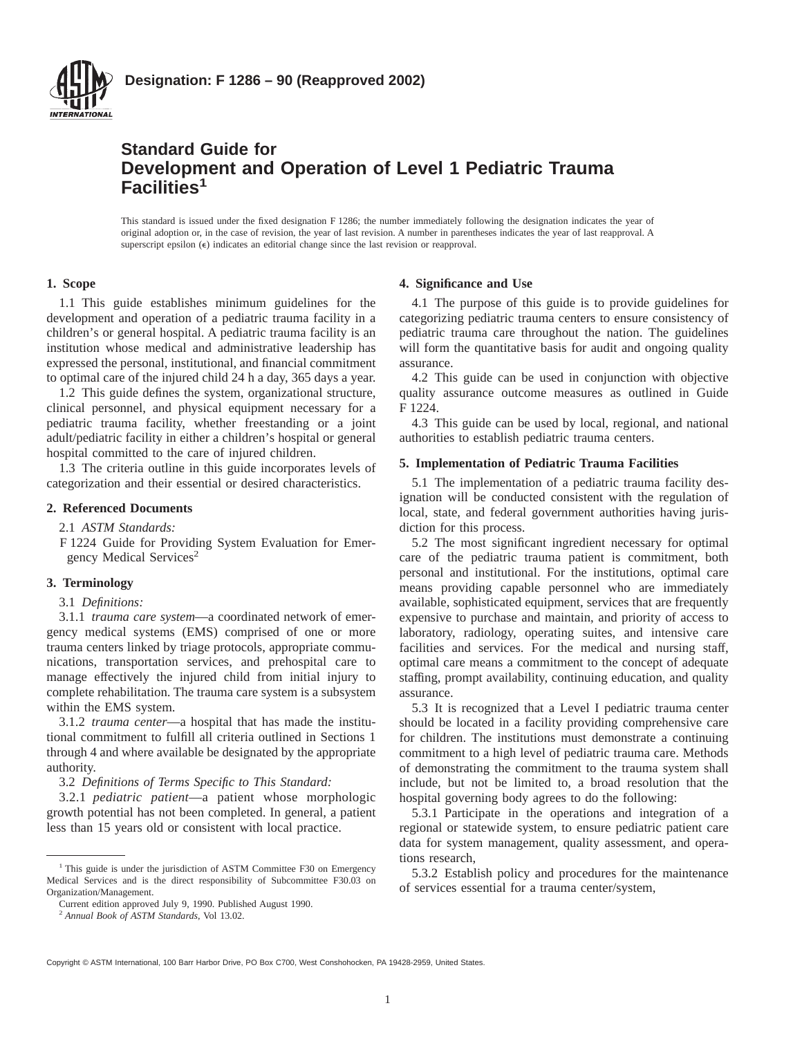

# **Standard Guide for Development and Operation of Level 1 Pediatric Trauma Facilities1**

This standard is issued under the fixed designation F 1286; the number immediately following the designation indicates the year of original adoption or, in the case of revision, the year of last revision. A number in parentheses indicates the year of last reapproval. A superscript epsilon  $(\epsilon)$  indicates an editorial change since the last revision or reapproval.

# **1. Scope**

1.1 This guide establishes minimum guidelines for the development and operation of a pediatric trauma facility in a children's or general hospital. A pediatric trauma facility is an institution whose medical and administrative leadership has expressed the personal, institutional, and financial commitment to optimal care of the injured child 24 h a day, 365 days a year.

1.2 This guide defines the system, organizational structure, clinical personnel, and physical equipment necessary for a pediatric trauma facility, whether freestanding or a joint adult/pediatric facility in either a children's hospital or general hospital committed to the care of injured children.

1.3 The criteria outline in this guide incorporates levels of categorization and their essential or desired characteristics.

## **2. Referenced Documents**

2.1 *ASTM Standards:*

F 1224 Guide for Providing System Evaluation for Emergency Medical Services<sup>2</sup>

#### **3. Terminology**

# 3.1 *Definitions:*

3.1.1 *trauma care system*—a coordinated network of emergency medical systems (EMS) comprised of one or more trauma centers linked by triage protocols, appropriate communications, transportation services, and prehospital care to manage effectively the injured child from initial injury to complete rehabilitation. The trauma care system is a subsystem within the EMS system.

3.1.2 *trauma center*—a hospital that has made the institutional commitment to fulfill all criteria outlined in Sections 1 through 4 and where available be designated by the appropriate authority.

3.2 *Definitions of Terms Specific to This Standard:*

3.2.1 *pediatric patient*—a patient whose morphologic growth potential has not been completed. In general, a patient less than 15 years old or consistent with local practice.

#### **4. Significance and Use**

4.1 The purpose of this guide is to provide guidelines for categorizing pediatric trauma centers to ensure consistency of pediatric trauma care throughout the nation. The guidelines will form the quantitative basis for audit and ongoing quality assurance.

4.2 This guide can be used in conjunction with objective quality assurance outcome measures as outlined in Guide F 1224.

4.3 This guide can be used by local, regional, and national authorities to establish pediatric trauma centers.

#### **5. Implementation of Pediatric Trauma Facilities**

5.1 The implementation of a pediatric trauma facility designation will be conducted consistent with the regulation of local, state, and federal government authorities having jurisdiction for this process.

5.2 The most significant ingredient necessary for optimal care of the pediatric trauma patient is commitment, both personal and institutional. For the institutions, optimal care means providing capable personnel who are immediately available, sophisticated equipment, services that are frequently expensive to purchase and maintain, and priority of access to laboratory, radiology, operating suites, and intensive care facilities and services. For the medical and nursing staff, optimal care means a commitment to the concept of adequate staffing, prompt availability, continuing education, and quality assurance.

5.3 It is recognized that a Level I pediatric trauma center should be located in a facility providing comprehensive care for children. The institutions must demonstrate a continuing commitment to a high level of pediatric trauma care. Methods of demonstrating the commitment to the trauma system shall include, but not be limited to, a broad resolution that the hospital governing body agrees to do the following:

5.3.1 Participate in the operations and integration of a regional or statewide system, to ensure pediatric patient care data for system management, quality assessment, and operations research,

5.3.2 Establish policy and procedures for the maintenance of services essential for a trauma center/system,

<sup>&</sup>lt;sup>1</sup> This guide is under the jurisdiction of ASTM Committee F30 on Emergency Medical Services and is the direct responsibility of Subcommittee F30.03 on Organization/Management.

Current edition approved July 9, 1990. Published August 1990.

<sup>2</sup> *Annual Book of ASTM Standards*, Vol 13.02.

Copyright © ASTM International, 100 Barr Harbor Drive, PO Box C700, West Conshohocken, PA 19428-2959, United States.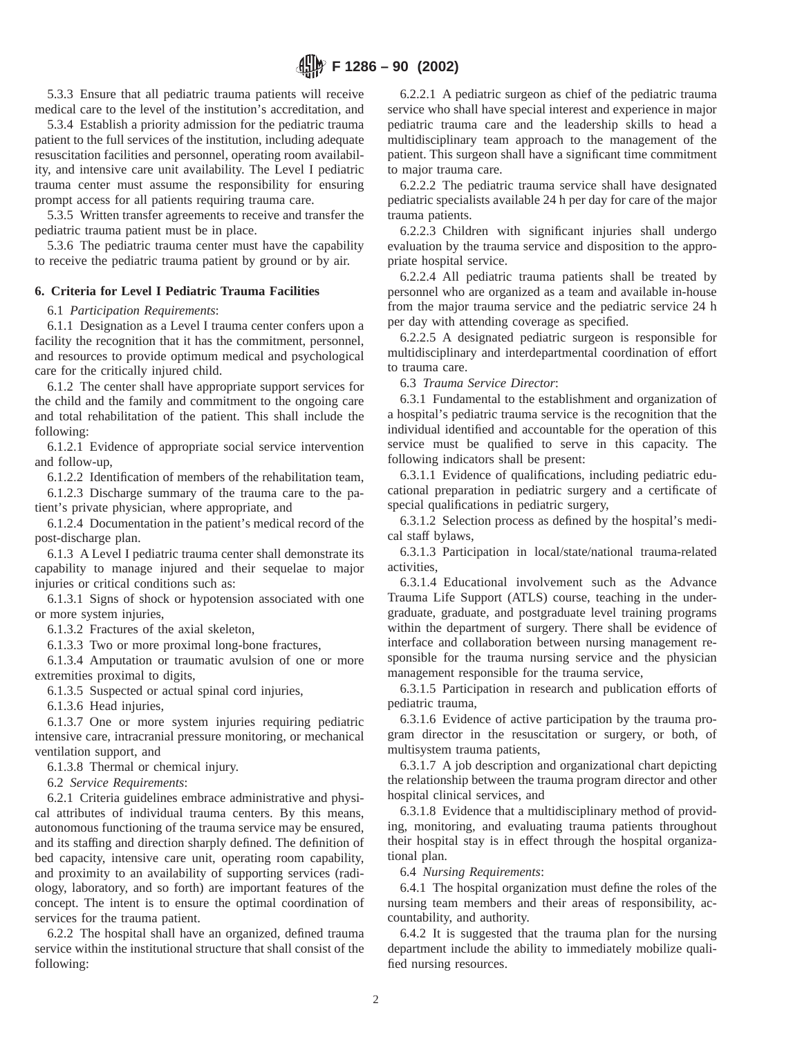5.3.3 Ensure that all pediatric trauma patients will receive medical care to the level of the institution's accreditation, and

5.3.4 Establish a priority admission for the pediatric trauma patient to the full services of the institution, including adequate resuscitation facilities and personnel, operating room availability, and intensive care unit availability. The Level I pediatric trauma center must assume the responsibility for ensuring prompt access for all patients requiring trauma care.

5.3.5 Written transfer agreements to receive and transfer the pediatric trauma patient must be in place.

5.3.6 The pediatric trauma center must have the capability to receive the pediatric trauma patient by ground or by air.

# **6. Criteria for Level I Pediatric Trauma Facilities**

6.1 *Participation Requirements*:

6.1.1 Designation as a Level I trauma center confers upon a facility the recognition that it has the commitment, personnel, and resources to provide optimum medical and psychological care for the critically injured child.

6.1.2 The center shall have appropriate support services for the child and the family and commitment to the ongoing care and total rehabilitation of the patient. This shall include the following:

6.1.2.1 Evidence of appropriate social service intervention and follow-up,

6.1.2.2 Identification of members of the rehabilitation team,

6.1.2.3 Discharge summary of the trauma care to the patient's private physician, where appropriate, and

6.1.2.4 Documentation in the patient's medical record of the post-discharge plan.

6.1.3 A Level I pediatric trauma center shall demonstrate its capability to manage injured and their sequelae to major injuries or critical conditions such as:

6.1.3.1 Signs of shock or hypotension associated with one or more system injuries,

6.1.3.2 Fractures of the axial skeleton,

6.1.3.3 Two or more proximal long-bone fractures,

6.1.3.4 Amputation or traumatic avulsion of one or more extremities proximal to digits,

6.1.3.5 Suspected or actual spinal cord injuries,

6.1.3.6 Head injuries,

6.1.3.7 One or more system injuries requiring pediatric intensive care, intracranial pressure monitoring, or mechanical ventilation support, and

6.1.3.8 Thermal or chemical injury.

6.2 *Service Requirements*:

6.2.1 Criteria guidelines embrace administrative and physical attributes of individual trauma centers. By this means, autonomous functioning of the trauma service may be ensured, and its staffing and direction sharply defined. The definition of bed capacity, intensive care unit, operating room capability, and proximity to an availability of supporting services (radiology, laboratory, and so forth) are important features of the concept. The intent is to ensure the optimal coordination of services for the trauma patient.

6.2.2 The hospital shall have an organized, defined trauma service within the institutional structure that shall consist of the following:

6.2.2.1 A pediatric surgeon as chief of the pediatric trauma service who shall have special interest and experience in major pediatric trauma care and the leadership skills to head a multidisciplinary team approach to the management of the patient. This surgeon shall have a significant time commitment to major trauma care.

6.2.2.2 The pediatric trauma service shall have designated pediatric specialists available 24 h per day for care of the major trauma patients.

6.2.2.3 Children with significant injuries shall undergo evaluation by the trauma service and disposition to the appropriate hospital service.

6.2.2.4 All pediatric trauma patients shall be treated by personnel who are organized as a team and available in-house from the major trauma service and the pediatric service 24 h per day with attending coverage as specified.

6.2.2.5 A designated pediatric surgeon is responsible for multidisciplinary and interdepartmental coordination of effort to trauma care.

6.3 *Trauma Service Director*:

6.3.1 Fundamental to the establishment and organization of a hospital's pediatric trauma service is the recognition that the individual identified and accountable for the operation of this service must be qualified to serve in this capacity. The following indicators shall be present:

6.3.1.1 Evidence of qualifications, including pediatric educational preparation in pediatric surgery and a certificate of special qualifications in pediatric surgery,

6.3.1.2 Selection process as defined by the hospital's medical staff bylaws,

6.3.1.3 Participation in local/state/national trauma-related activities,

6.3.1.4 Educational involvement such as the Advance Trauma Life Support (ATLS) course, teaching in the undergraduate, graduate, and postgraduate level training programs within the department of surgery. There shall be evidence of interface and collaboration between nursing management responsible for the trauma nursing service and the physician management responsible for the trauma service,

6.3.1.5 Participation in research and publication efforts of pediatric trauma,

6.3.1.6 Evidence of active participation by the trauma program director in the resuscitation or surgery, or both, of multisystem trauma patients,

6.3.1.7 A job description and organizational chart depicting the relationship between the trauma program director and other hospital clinical services, and

6.3.1.8 Evidence that a multidisciplinary method of providing, monitoring, and evaluating trauma patients throughout their hospital stay is in effect through the hospital organizational plan.

6.4 *Nursing Requirements*:

6.4.1 The hospital organization must define the roles of the nursing team members and their areas of responsibility, accountability, and authority.

6.4.2 It is suggested that the trauma plan for the nursing department include the ability to immediately mobilize qualified nursing resources.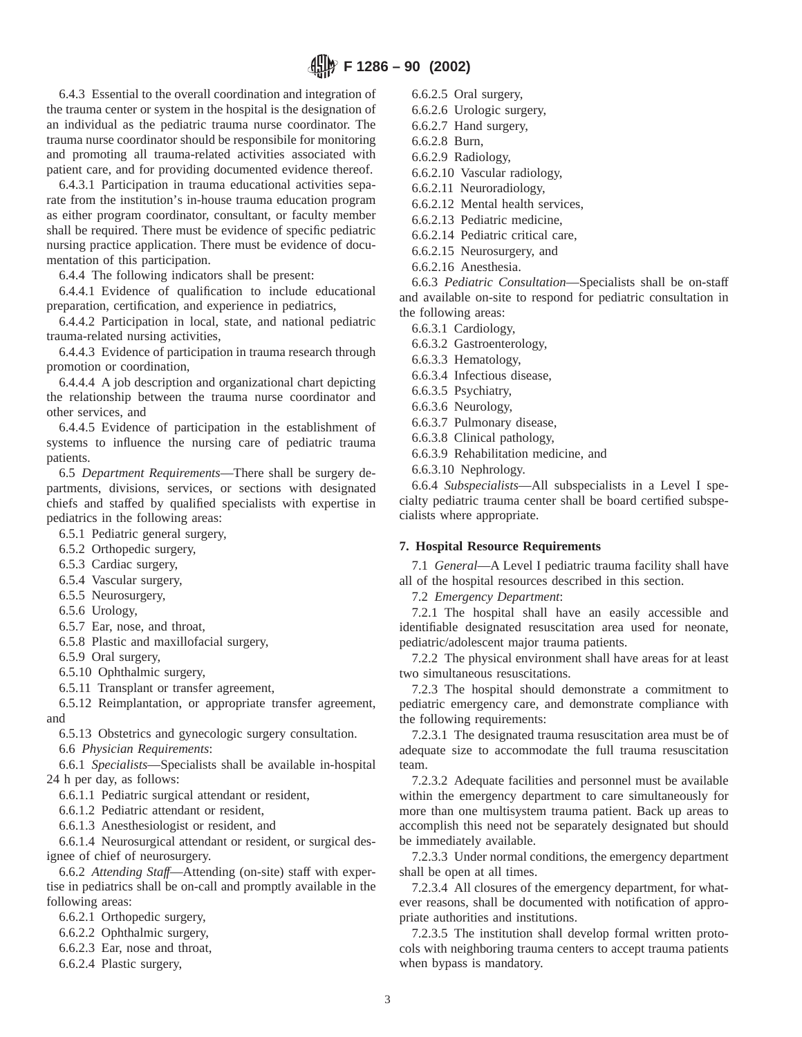6.4.3 Essential to the overall coordination and integration of the trauma center or system in the hospital is the designation of an individual as the pediatric trauma nurse coordinator. The trauma nurse coordinator should be responsibile for monitoring and promoting all trauma-related activities associated with patient care, and for providing documented evidence thereof.

6.4.3.1 Participation in trauma educational activities separate from the institution's in-house trauma education program as either program coordinator, consultant, or faculty member shall be required. There must be evidence of specific pediatric nursing practice application. There must be evidence of documentation of this participation.

6.4.4 The following indicators shall be present:

6.4.4.1 Evidence of qualification to include educational preparation, certification, and experience in pediatrics,

6.4.4.2 Participation in local, state, and national pediatric trauma-related nursing activities,

6.4.4.3 Evidence of participation in trauma research through promotion or coordination,

6.4.4.4 A job description and organizational chart depicting the relationship between the trauma nurse coordinator and other services, and

6.4.4.5 Evidence of participation in the establishment of systems to influence the nursing care of pediatric trauma patients.

6.5 *Department Requirements*—There shall be surgery departments, divisions, services, or sections with designated chiefs and staffed by qualified specialists with expertise in pediatrics in the following areas:

6.5.1 Pediatric general surgery,

6.5.2 Orthopedic surgery,

6.5.3 Cardiac surgery,

6.5.4 Vascular surgery,

6.5.5 Neurosurgery,

6.5.6 Urology,

6.5.7 Ear, nose, and throat,

6.5.8 Plastic and maxillofacial surgery,

6.5.9 Oral surgery,

6.5.10 Ophthalmic surgery,

6.5.11 Transplant or transfer agreement,

6.5.12 Reimplantation, or appropriate transfer agreement, and

6.5.13 Obstetrics and gynecologic surgery consultation.

6.6 *Physician Requirements*:

6.6.1 *Specialists*—Specialists shall be available in-hospital 24 h per day, as follows:

6.6.1.1 Pediatric surgical attendant or resident,

6.6.1.2 Pediatric attendant or resident,

6.6.1.3 Anesthesiologist or resident, and

6.6.1.4 Neurosurgical attendant or resident, or surgical designee of chief of neurosurgery.

6.6.2 *Attending Staff*—Attending (on-site) staff with expertise in pediatrics shall be on-call and promptly available in the following areas:

6.6.2.1 Orthopedic surgery,

6.6.2.2 Ophthalmic surgery,

6.6.2.3 Ear, nose and throat,

6.6.2.4 Plastic surgery,

6.6.2.5 Oral surgery,

6.6.2.6 Urologic surgery,

6.6.2.7 Hand surgery,

6.6.2.8 Burn,

6.6.2.9 Radiology,

6.6.2.10 Vascular radiology,

6.6.2.11 Neuroradiology,

6.6.2.12 Mental health services,

6.6.2.13 Pediatric medicine,

6.6.2.14 Pediatric critical care,

6.6.2.15 Neurosurgery, and

6.6.2.16 Anesthesia.

6.6.3 *Pediatric Consultation*—Specialists shall be on-staff and available on-site to respond for pediatric consultation in the following areas:

6.6.3.1 Cardiology,

6.6.3.2 Gastroenterology,

6.6.3.3 Hematology,

6.6.3.4 Infectious disease,

6.6.3.5 Psychiatry,

6.6.3.6 Neurology,

6.6.3.7 Pulmonary disease,

6.6.3.8 Clinical pathology,

6.6.3.9 Rehabilitation medicine, and

6.6.3.10 Nephrology.

6.6.4 *Subspecialists*—All subspecialists in a Level I specialty pediatric trauma center shall be board certified subspecialists where appropriate.

# **7. Hospital Resource Requirements**

7.1 *General*—A Level I pediatric trauma facility shall have all of the hospital resources described in this section.

7.2 *Emergency Department*:

7.2.1 The hospital shall have an easily accessible and identifiable designated resuscitation area used for neonate, pediatric/adolescent major trauma patients.

7.2.2 The physical environment shall have areas for at least two simultaneous resuscitations.

7.2.3 The hospital should demonstrate a commitment to pediatric emergency care, and demonstrate compliance with the following requirements:

7.2.3.1 The designated trauma resuscitation area must be of adequate size to accommodate the full trauma resuscitation team.

7.2.3.2 Adequate facilities and personnel must be available within the emergency department to care simultaneously for more than one multisystem trauma patient. Back up areas to accomplish this need not be separately designated but should be immediately available.

7.2.3.3 Under normal conditions, the emergency department shall be open at all times.

7.2.3.4 All closures of the emergency department, for whatever reasons, shall be documented with notification of appropriate authorities and institutions.

7.2.3.5 The institution shall develop formal written protocols with neighboring trauma centers to accept trauma patients when bypass is mandatory.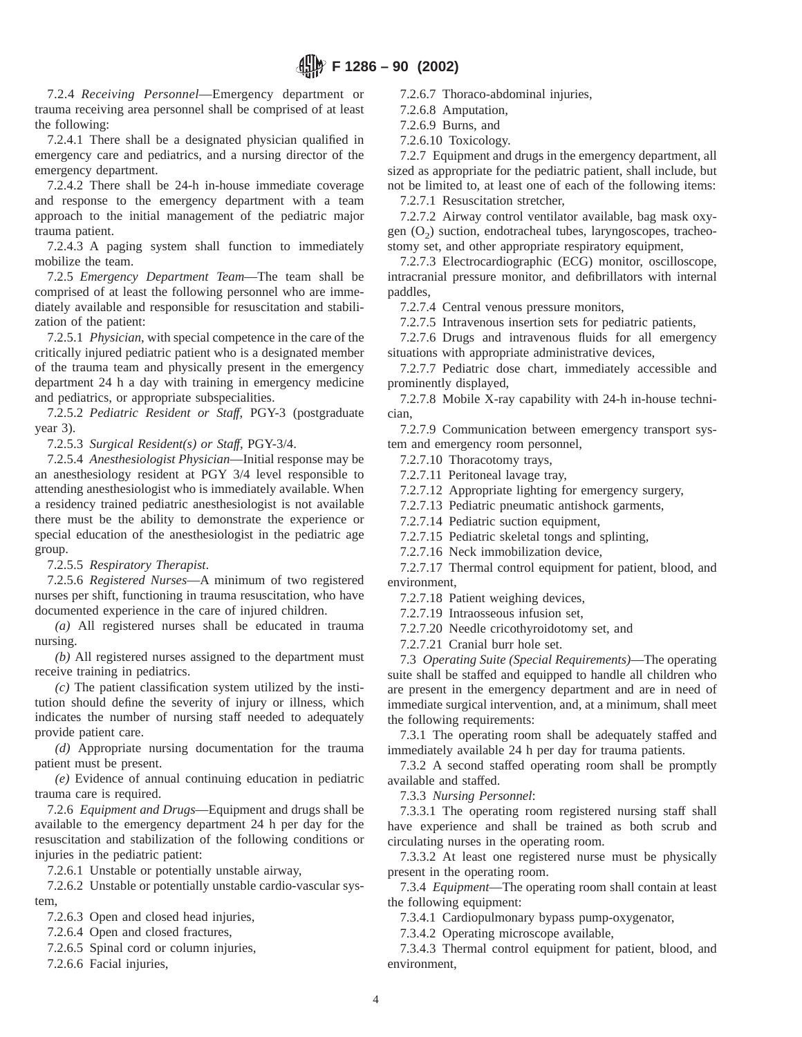7.2.4 *Receiving Personnel*—Emergency department or trauma receiving area personnel shall be comprised of at least the following:

7.2.4.1 There shall be a designated physician qualified in emergency care and pediatrics, and a nursing director of the emergency department.

7.2.4.2 There shall be 24-h in-house immediate coverage and response to the emergency department with a team approach to the initial management of the pediatric major trauma patient.

7.2.4.3 A paging system shall function to immediately mobilize the team.

7.2.5 *Emergency Department Team*—The team shall be comprised of at least the following personnel who are immediately available and responsible for resuscitation and stabilization of the patient:

7.2.5.1 *Physician*, with special competence in the care of the critically injured pediatric patient who is a designated member of the trauma team and physically present in the emergency department 24 h a day with training in emergency medicine and pediatrics, or appropriate subspecialities.

7.2.5.2 *Pediatric Resident or Staff*, PGY-3 (postgraduate year 3).

7.2.5.3 *Surgical Resident(s) or Staff*, PGY-3/4.

7.2.5.4 *Anesthesiologist Physician*—Initial response may be an anesthesiology resident at PGY 3/4 level responsible to attending anesthesiologist who is immediately available. When a residency trained pediatric anesthesiologist is not available there must be the ability to demonstrate the experience or special education of the anesthesiologist in the pediatric age group.

7.2.5.5 *Respiratory Therapist*.

7.2.5.6 *Registered Nurses*—A minimum of two registered nurses per shift, functioning in trauma resuscitation, who have documented experience in the care of injured children.

*(a)* All registered nurses shall be educated in trauma nursing.

*(b)* All registered nurses assigned to the department must receive training in pediatrics.

*(c)* The patient classification system utilized by the institution should define the severity of injury or illness, which indicates the number of nursing staff needed to adequately provide patient care.

*(d)* Appropriate nursing documentation for the trauma patient must be present.

*(e)* Evidence of annual continuing education in pediatric trauma care is required.

7.2.6 *Equipment and Drugs*—Equipment and drugs shall be available to the emergency department 24 h per day for the resuscitation and stabilization of the following conditions or injuries in the pediatric patient:

7.2.6.1 Unstable or potentially unstable airway,

7.2.6.2 Unstable or potentially unstable cardio-vascular system,

7.2.6.3 Open and closed head injuries,

7.2.6.4 Open and closed fractures,

7.2.6.5 Spinal cord or column injuries,

7.2.6.6 Facial injuries,

7.2.6.7 Thoraco-abdominal injuries,

7.2.6.8 Amputation,

7.2.6.9 Burns, and

7.2.6.10 Toxicology.

7.2.7 Equipment and drugs in the emergency department, all sized as appropriate for the pediatric patient, shall include, but not be limited to, at least one of each of the following items:

7.2.7.1 Resuscitation stretcher,

7.2.7.2 Airway control ventilator available, bag mask oxygen  $(O_2)$  suction, endotracheal tubes, laryngoscopes, tracheostomy set, and other appropriate respiratory equipment,

7.2.7.3 Electrocardiographic (ECG) monitor, oscilloscope, intracranial pressure monitor, and defibrillators with internal paddles,

7.2.7.4 Central venous pressure monitors,

7.2.7.5 Intravenous insertion sets for pediatric patients,

7.2.7.6 Drugs and intravenous fluids for all emergency situations with appropriate administrative devices,

7.2.7.7 Pediatric dose chart, immediately accessible and prominently displayed,

7.2.7.8 Mobile X-ray capability with 24-h in-house technician,

7.2.7.9 Communication between emergency transport system and emergency room personnel,

7.2.7.10 Thoracotomy trays,

7.2.7.11 Peritoneal lavage tray,

7.2.7.12 Appropriate lighting for emergency surgery,

7.2.7.13 Pediatric pneumatic antishock garments,

7.2.7.14 Pediatric suction equipment,

7.2.7.15 Pediatric skeletal tongs and splinting,

7.2.7.16 Neck immobilization device,

7.2.7.17 Thermal control equipment for patient, blood, and environment,

7.2.7.18 Patient weighing devices,

7.2.7.19 Intraosseous infusion set,

7.2.7.20 Needle cricothyroidotomy set, and

7.2.7.21 Cranial burr hole set.

7.3 *Operating Suite (Special Requirements)*—The operating suite shall be staffed and equipped to handle all children who are present in the emergency department and are in need of immediate surgical intervention, and, at a minimum, shall meet the following requirements:

7.3.1 The operating room shall be adequately staffed and immediately available 24 h per day for trauma patients.

7.3.2 A second staffed operating room shall be promptly available and staffed.

7.3.3 *Nursing Personnel*:

7.3.3.1 The operating room registered nursing staff shall have experience and shall be trained as both scrub and circulating nurses in the operating room.

7.3.3.2 At least one registered nurse must be physically present in the operating room.

7.3.4 *Equipment*—The operating room shall contain at least the following equipment:

7.3.4.1 Cardiopulmonary bypass pump-oxygenator,

7.3.4.2 Operating microscope available,

7.3.4.3 Thermal control equipment for patient, blood, and environment,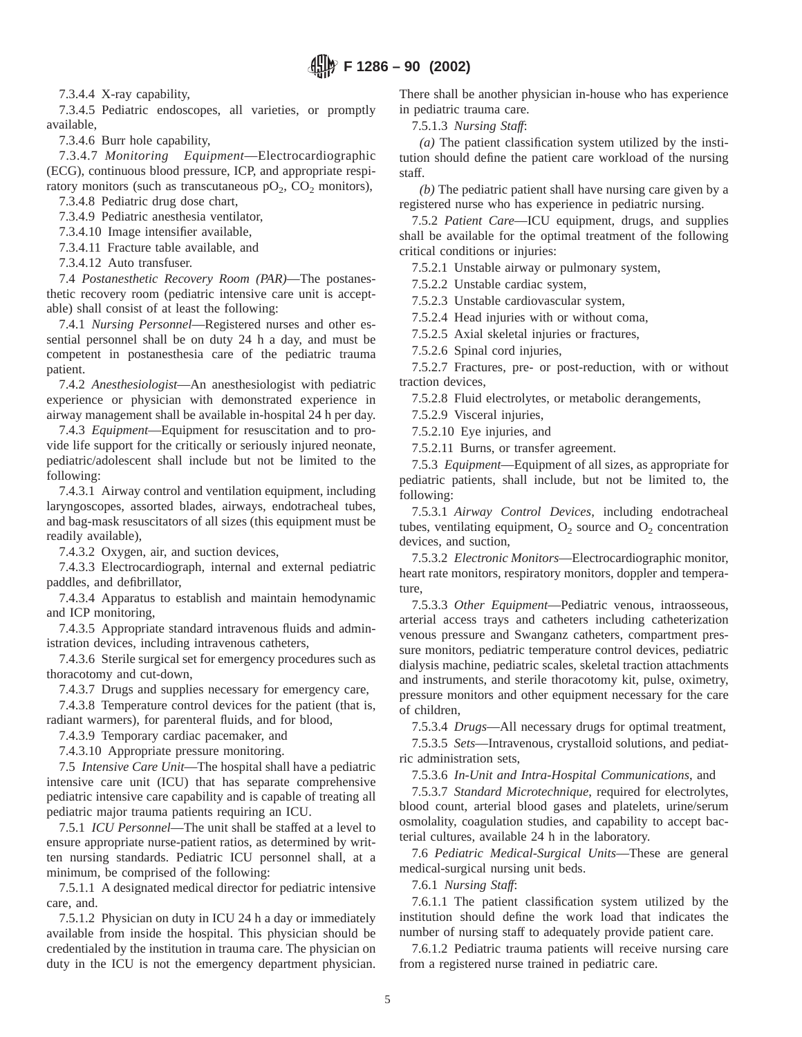7.3.4.4 X-ray capability,

7.3.4.5 Pediatric endoscopes, all varieties, or promptly available,

7.3.4.6 Burr hole capability,

7.3.4.7 *Monitoring Equipment*—Electrocardiographic (ECG), continuous blood pressure, ICP, and appropriate respiratory monitors (such as transcutaneous  $pO_2$ ,  $CO_2$  monitors),

7.3.4.8 Pediatric drug dose chart,

7.3.4.9 Pediatric anesthesia ventilator,

7.3.4.10 Image intensifier available,

7.3.4.11 Fracture table available, and

7.3.4.12 Auto transfuser.

7.4 *Postanesthetic Recovery Room (PAR)*—The postanesthetic recovery room (pediatric intensive care unit is acceptable) shall consist of at least the following:

7.4.1 *Nursing Personnel*—Registered nurses and other essential personnel shall be on duty 24 h a day, and must be competent in postanesthesia care of the pediatric trauma patient.

7.4.2 *Anesthesiologist*—An anesthesiologist with pediatric experience or physician with demonstrated experience in airway management shall be available in-hospital 24 h per day.

7.4.3 *Equipment*—Equipment for resuscitation and to provide life support for the critically or seriously injured neonate, pediatric/adolescent shall include but not be limited to the following:

7.4.3.1 Airway control and ventilation equipment, including laryngoscopes, assorted blades, airways, endotracheal tubes, and bag-mask resuscitators of all sizes (this equipment must be readily available),

7.4.3.2 Oxygen, air, and suction devices,

7.4.3.3 Electrocardiograph, internal and external pediatric paddles, and defibrillator,

7.4.3.4 Apparatus to establish and maintain hemodynamic and ICP monitoring,

7.4.3.5 Appropriate standard intravenous fluids and administration devices, including intravenous catheters,

7.4.3.6 Sterile surgical set for emergency procedures such as thoracotomy and cut-down,

7.4.3.7 Drugs and supplies necessary for emergency care,

7.4.3.8 Temperature control devices for the patient (that is, radiant warmers), for parenteral fluids, and for blood,

7.4.3.9 Temporary cardiac pacemaker, and

7.4.3.10 Appropriate pressure monitoring.

7.5 *Intensive Care Unit*—The hospital shall have a pediatric intensive care unit (ICU) that has separate comprehensive pediatric intensive care capability and is capable of treating all pediatric major trauma patients requiring an ICU.

7.5.1 *ICU Personnel*—The unit shall be staffed at a level to ensure appropriate nurse-patient ratios, as determined by written nursing standards. Pediatric ICU personnel shall, at a minimum, be comprised of the following:

7.5.1.1 A designated medical director for pediatric intensive care, and.

7.5.1.2 Physician on duty in ICU 24 h a day or immediately available from inside the hospital. This physician should be credentialed by the institution in trauma care. The physician on duty in the ICU is not the emergency department physician.

There shall be another physician in-house who has experience in pediatric trauma care.

7.5.1.3 *Nursing Staff*:

*(a)* The patient classification system utilized by the institution should define the patient care workload of the nursing staff.

*(b)* The pediatric patient shall have nursing care given by a registered nurse who has experience in pediatric nursing.

7.5.2 *Patient Care*—ICU equipment, drugs, and supplies shall be available for the optimal treatment of the following critical conditions or injuries:

7.5.2.1 Unstable airway or pulmonary system,

7.5.2.2 Unstable cardiac system,

7.5.2.3 Unstable cardiovascular system,

7.5.2.4 Head injuries with or without coma,

7.5.2.5 Axial skeletal injuries or fractures,

7.5.2.6 Spinal cord injuries,

7.5.2.7 Fractures, pre- or post-reduction, with or without traction devices,

7.5.2.8 Fluid electrolytes, or metabolic derangements,

7.5.2.9 Visceral injuries,

7.5.2.10 Eye injuries, and

7.5.2.11 Burns, or transfer agreement.

7.5.3 *Equipment*—Equipment of all sizes, as appropriate for pediatric patients, shall include, but not be limited to, the following:

7.5.3.1 *Airway Control Devices*, including endotracheal tubes, ventilating equipment,  $O_2$  source and  $O_2$  concentration devices, and suction,

7.5.3.2 *Electronic Monitors*—Electrocardiographic monitor, heart rate monitors, respiratory monitors, doppler and temperature,

7.5.3.3 *Other Equipment*—Pediatric venous, intraosseous, arterial access trays and catheters including catheterization venous pressure and Swanganz catheters, compartment pressure monitors, pediatric temperature control devices, pediatric dialysis machine, pediatric scales, skeletal traction attachments and instruments, and sterile thoracotomy kit, pulse, oximetry, pressure monitors and other equipment necessary for the care of children,

7.5.3.4 *Drugs*—All necessary drugs for optimal treatment,

7.5.3.5 *Sets*—Intravenous, crystalloid solutions, and pediatric administration sets,

7.5.3.6 *In-Unit and Intra-Hospital Communications*, and

7.5.3.7 *Standard Microtechnique*, required for electrolytes, blood count, arterial blood gases and platelets, urine/serum osmolality, coagulation studies, and capability to accept bacterial cultures, available 24 h in the laboratory.

7.6 *Pediatric Medical-Surgical Units*—These are general medical-surgical nursing unit beds.

7.6.1 *Nursing Staff*:

7.6.1.1 The patient classification system utilized by the institution should define the work load that indicates the number of nursing staff to adequately provide patient care.

7.6.1.2 Pediatric trauma patients will receive nursing care from a registered nurse trained in pediatric care.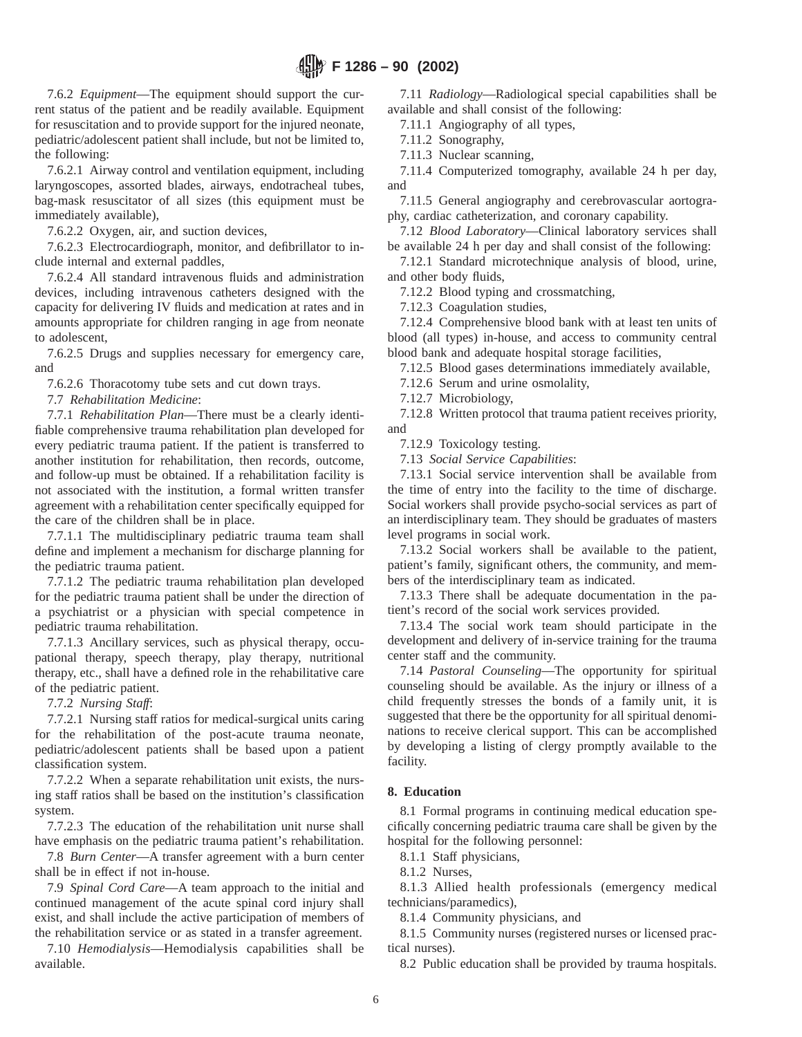7.6.2 *Equipment*—The equipment should support the current status of the patient and be readily available. Equipment for resuscitation and to provide support for the injured neonate, pediatric/adolescent patient shall include, but not be limited to, the following:

7.6.2.1 Airway control and ventilation equipment, including laryngoscopes, assorted blades, airways, endotracheal tubes, bag-mask resuscitator of all sizes (this equipment must be immediately available),

7.6.2.2 Oxygen, air, and suction devices,

7.6.2.3 Electrocardiograph, monitor, and defibrillator to include internal and external paddles,

7.6.2.4 All standard intravenous fluids and administration devices, including intravenous catheters designed with the capacity for delivering IV fluids and medication at rates and in amounts appropriate for children ranging in age from neonate to adolescent,

7.6.2.5 Drugs and supplies necessary for emergency care, and

7.6.2.6 Thoracotomy tube sets and cut down trays.

7.7 *Rehabilitation Medicine*:

7.7.1 *Rehabilitation Plan*—There must be a clearly identifiable comprehensive trauma rehabilitation plan developed for every pediatric trauma patient. If the patient is transferred to another institution for rehabilitation, then records, outcome, and follow-up must be obtained. If a rehabilitation facility is not associated with the institution, a formal written transfer agreement with a rehabilitation center specifically equipped for the care of the children shall be in place.

7.7.1.1 The multidisciplinary pediatric trauma team shall define and implement a mechanism for discharge planning for the pediatric trauma patient.

7.7.1.2 The pediatric trauma rehabilitation plan developed for the pediatric trauma patient shall be under the direction of a psychiatrist or a physician with special competence in pediatric trauma rehabilitation.

7.7.1.3 Ancillary services, such as physical therapy, occupational therapy, speech therapy, play therapy, nutritional therapy, etc., shall have a defined role in the rehabilitative care of the pediatric patient.

7.7.2 *Nursing Staff*:

7.7.2.1 Nursing staff ratios for medical-surgical units caring for the rehabilitation of the post-acute trauma neonate, pediatric/adolescent patients shall be based upon a patient classification system.

7.7.2.2 When a separate rehabilitation unit exists, the nursing staff ratios shall be based on the institution's classification system.

7.7.2.3 The education of the rehabilitation unit nurse shall have emphasis on the pediatric trauma patient's rehabilitation.

7.8 *Burn Center*—A transfer agreement with a burn center shall be in effect if not in-house.

7.9 *Spinal Cord Care*—A team approach to the initial and continued management of the acute spinal cord injury shall exist, and shall include the active participation of members of the rehabilitation service or as stated in a transfer agreement.

7.10 *Hemodialysis*—Hemodialysis capabilities shall be available.

7.11 *Radiology*—Radiological special capabilities shall be available and shall consist of the following:

7.11.1 Angiography of all types,

7.11.2 Sonography,

7.11.3 Nuclear scanning,

7.11.4 Computerized tomography, available 24 h per day, and

7.11.5 General angiography and cerebrovascular aortography, cardiac catheterization, and coronary capability.

7.12 *Blood Laboratory*—Clinical laboratory services shall be available 24 h per day and shall consist of the following:

7.12.1 Standard microtechnique analysis of blood, urine, and other body fluids,

7.12.2 Blood typing and crossmatching,

7.12.3 Coagulation studies,

7.12.4 Comprehensive blood bank with at least ten units of blood (all types) in-house, and access to community central blood bank and adequate hospital storage facilities,

7.12.5 Blood gases determinations immediately available,

7.12.6 Serum and urine osmolality,

7.12.7 Microbiology,

7.12.8 Written protocol that trauma patient receives priority, and

7.12.9 Toxicology testing.

7.13 *Social Service Capabilities*:

7.13.1 Social service intervention shall be available from the time of entry into the facility to the time of discharge. Social workers shall provide psycho-social services as part of an interdisciplinary team. They should be graduates of masters level programs in social work.

7.13.2 Social workers shall be available to the patient, patient's family, significant others, the community, and members of the interdisciplinary team as indicated.

7.13.3 There shall be adequate documentation in the patient's record of the social work services provided.

7.13.4 The social work team should participate in the development and delivery of in-service training for the trauma center staff and the community.

7.14 *Pastoral Counseling*—The opportunity for spiritual counseling should be available. As the injury or illness of a child frequently stresses the bonds of a family unit, it is suggested that there be the opportunity for all spiritual denominations to receive clerical support. This can be accomplished by developing a listing of clergy promptly available to the facility.

## **8. Education**

8.1 Formal programs in continuing medical education specifically concerning pediatric trauma care shall be given by the hospital for the following personnel:

8.1.1 Staff physicians,

8.1.2 Nurses,

8.1.3 Allied health professionals (emergency medical technicians/paramedics),

8.1.4 Community physicians, and

8.1.5 Community nurses (registered nurses or licensed practical nurses).

8.2 Public education shall be provided by trauma hospitals.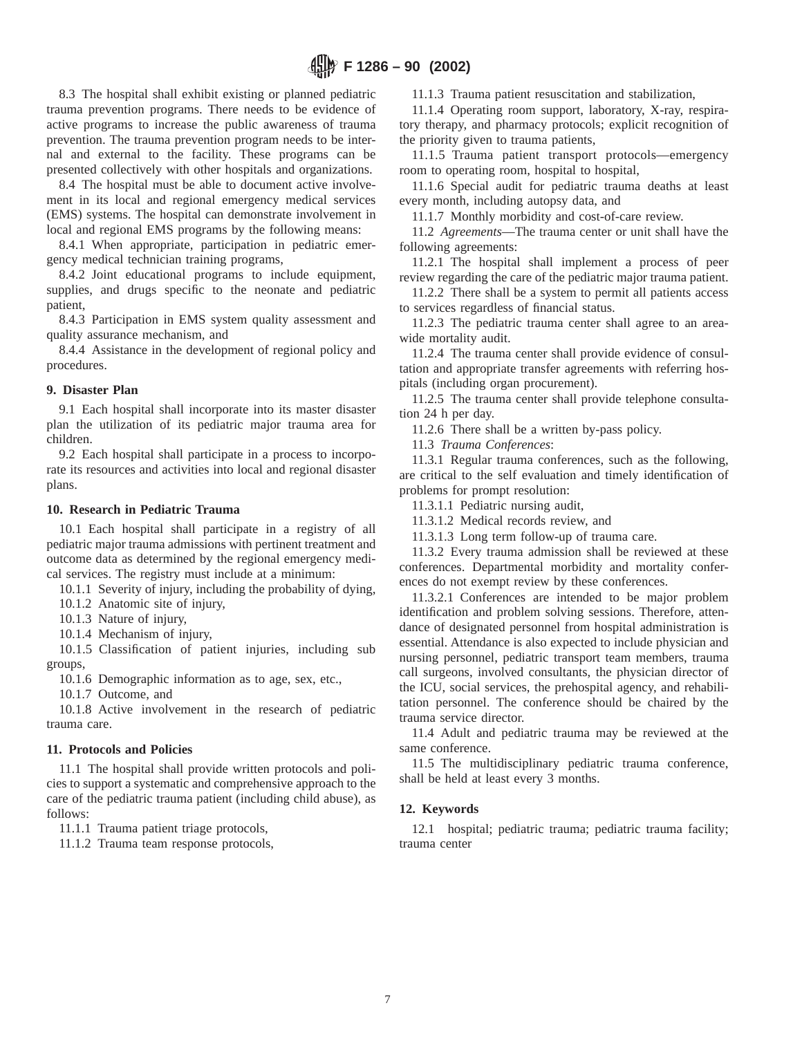8.3 The hospital shall exhibit existing or planned pediatric trauma prevention programs. There needs to be evidence of active programs to increase the public awareness of trauma prevention. The trauma prevention program needs to be internal and external to the facility. These programs can be presented collectively with other hospitals and organizations.

8.4 The hospital must be able to document active involvement in its local and regional emergency medical services (EMS) systems. The hospital can demonstrate involvement in local and regional EMS programs by the following means:

8.4.1 When appropriate, participation in pediatric emergency medical technician training programs,

8.4.2 Joint educational programs to include equipment, supplies, and drugs specific to the neonate and pediatric patient,

8.4.3 Participation in EMS system quality assessment and quality assurance mechanism, and

8.4.4 Assistance in the development of regional policy and procedures.

# **9. Disaster Plan**

9.1 Each hospital shall incorporate into its master disaster plan the utilization of its pediatric major trauma area for children.

9.2 Each hospital shall participate in a process to incorporate its resources and activities into local and regional disaster plans.

# **10. Research in Pediatric Trauma**

10.1 Each hospital shall participate in a registry of all pediatric major trauma admissions with pertinent treatment and outcome data as determined by the regional emergency medical services. The registry must include at a minimum:

10.1.1 Severity of injury, including the probability of dying,

10.1.2 Anatomic site of injury,

10.1.3 Nature of injury,

10.1.4 Mechanism of injury,

10.1.5 Classification of patient injuries, including sub groups,

10.1.6 Demographic information as to age, sex, etc.,

10.1.7 Outcome, and

10.1.8 Active involvement in the research of pediatric trauma care.

# **11. Protocols and Policies**

11.1 The hospital shall provide written protocols and policies to support a systematic and comprehensive approach to the care of the pediatric trauma patient (including child abuse), as follows:

11.1.1 Trauma patient triage protocols,

11.1.2 Trauma team response protocols,

11.1.3 Trauma patient resuscitation and stabilization,

11.1.4 Operating room support, laboratory, X-ray, respiratory therapy, and pharmacy protocols; explicit recognition of the priority given to trauma patients,

11.1.5 Trauma patient transport protocols—emergency room to operating room, hospital to hospital,

11.1.6 Special audit for pediatric trauma deaths at least every month, including autopsy data, and

11.1.7 Monthly morbidity and cost-of-care review.

11.2 *Agreements*—The trauma center or unit shall have the following agreements:

11.2.1 The hospital shall implement a process of peer review regarding the care of the pediatric major trauma patient.

11.2.2 There shall be a system to permit all patients access to services regardless of financial status.

11.2.3 The pediatric trauma center shall agree to an areawide mortality audit.

11.2.4 The trauma center shall provide evidence of consultation and appropriate transfer agreements with referring hospitals (including organ procurement).

11.2.5 The trauma center shall provide telephone consultation 24 h per day.

11.2.6 There shall be a written by-pass policy.

11.3 *Trauma Conferences*:

11.3.1 Regular trauma conferences, such as the following, are critical to the self evaluation and timely identification of problems for prompt resolution:

11.3.1.1 Pediatric nursing audit,

11.3.1.2 Medical records review, and

11.3.1.3 Long term follow-up of trauma care.

11.3.2 Every trauma admission shall be reviewed at these conferences. Departmental morbidity and mortality conferences do not exempt review by these conferences.

11.3.2.1 Conferences are intended to be major problem identification and problem solving sessions. Therefore, attendance of designated personnel from hospital administration is essential. Attendance is also expected to include physician and nursing personnel, pediatric transport team members, trauma call surgeons, involved consultants, the physician director of the ICU, social services, the prehospital agency, and rehabilitation personnel. The conference should be chaired by the trauma service director.

11.4 Adult and pediatric trauma may be reviewed at the same conference.

11.5 The multidisciplinary pediatric trauma conference, shall be held at least every 3 months.

# **12. Keywords**

12.1 hospital; pediatric trauma; pediatric trauma facility; trauma center